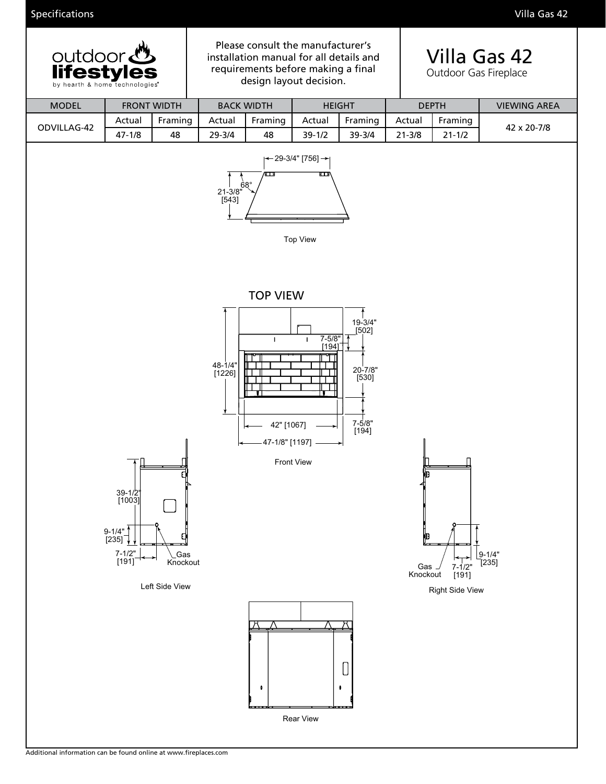